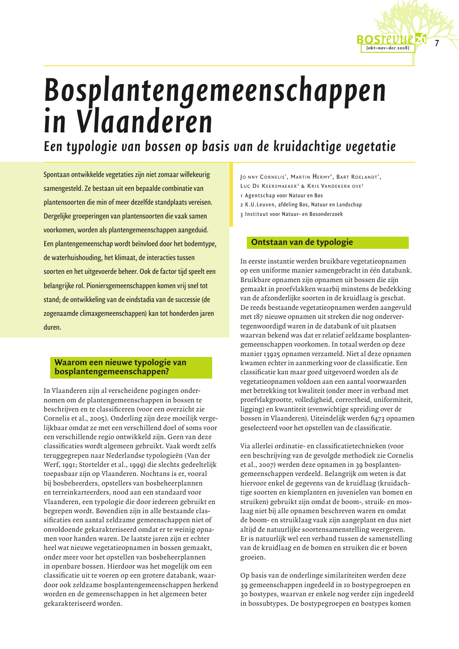

Een typologie van bossen op basis van de kruidachtige vegetatie

Spontaan ontwikkelde vegetaties zijn niet zomaar willekeurig samengesteld. Ze bestaan uit een bepaalde combinatie van plantensoorten die min of meer dezelfde standplaats vereisen. Dergelijke groeperingen van plantensoorten die vaak samen voorkomen, worden als plantengemeenschappen aangeduid. Een plantengemeenschap wordt beïnvloed door het bodemtype, de waterhuishouding, het klimaat, de interacties tussen soorten en het uitgevoerde beheer. Ook de factor tijd speelt een belangrijke rol. Pioniersgemeenschappen komen vrij snel tot stand; de ontwikkeling van de eindstadia van de successie (de zogenaamde climaxgemeenschappen) kan tot honderden jaren duren.

# Waarom een nieuwe typologie van bosplantengemeenschappen?

In Vlaanderen zijn al verscheidene pogingen ondernomen om de plantengemeenschappen in bossen te beschrijven en te classificeren (voor een overzicht zie Cornelis et al., 2005). Onderling zijn deze moeilijk vergelijkbaar omdat ze met een verschillend doel of soms voor een verschillende regio ontwikkeld zijn. Geen van deze classificaties wordt algemeen gebruikt. Vaak wordt zelfs teruggegrepen naar Nederlandse typologieën (Van der Werf, 1991; Stortelder et al., 1999) die slechts gedeeltelijk toepasbaar zijn op Vlaanderen. Nochtans is er, vooral bij bosbeheerders, opstellers van bosbeheerplannen en terreinkarteerders, nood aan een standaard voor Vlaanderen, een typologie die door iedereen gebruikt en begrepen wordt. Bovendien zijn in alle bestaande classificaties een aantal zeldzame gemeenschappen niet of onvoldoende gekarakteriseerd omdat er te weinig opnamen voor handen waren. De laatste jaren zijn er echter heel wat nieuwe vegetatieopnamen in bossen gemaakt, onder meer voor het opstellen van bosbeheerplannen in openbare bossen. Hierdoor was het mogelijk om een classificatie uit te voeren op een grotere databank, waardoor ook zeldzame bosplantengemeenschappen herkend worden en de gemeenschappen in het algemeen beter gekarakteriseerd worden.

JO NNY CORNELIS<sup>1</sup>, MARTIN HERMY<sup>2</sup>, BART ROELANDT<sup>1</sup>, LUC DE KEERSMAEKER<sup>3</sup> & KRIS VANDEKERK OVE<sup>3</sup> 1 Agentschap voor Natuur en Bos 2 K.U.Leuven, afdeling Bos, Natuur en Landschap

- 3 Instituut voor Natuur- en Bosonderzoek
- 

# Ontstaan van de typologie

In eerste instantie werden bruikbare vegetatieopnamen op een uniforme manier samengebracht in één databank. Bruikbare opnamen zijn opnamen uit bossen die zijn gemaakt in proefvlakken waarbij minstens de bedekking van de afzonderlijke soorten in de kruidlaag is geschat. De reeds bestaande vegetatieopnamen werden aangevuld met 187 nieuwe opnamen uit streken die nog ondervertegenwoordigd waren in de databank of uit plaatsen waarvan bekend was dat er relatief zeldzame bosplantengemeenschappen voorkomen. In totaal werden op deze manier 13925 opnamen verzameld. Niet al deze opnamen kwamen echter in aanmerking voor de classificatie. Een classificatie kan maar goed uitgevoerd worden als de vegetatieopnamen voldoen aan een aantal voorwaarden met betrekking tot kwaliteit (onder meer in verband met proefvlakgrootte, volledigheid, correctheid, uniformiteit, ligging) en kwantiteit (evenwichtige spreiding over de bossen in Vlaanderen). Uiteindelijk werden 6473 opnamen geselecteerd voor het opstellen van de classificatie.

Via allerlei ordinatie- en classificatietechnieken (voor een beschrijving van de gevolgde methodiek zie Cornelis et al., 2007) werden deze opnamen in 39 bosplantengemeenschappen verdeeld. Belangrijk om weten is dat hiervoor enkel de gegevens van de kruidlaag (kruidachtige soorten en kiemplanten en juvenielen van bomen en struiken) gebruikt zijn omdat de boom-, struik- en moslaag niet bij alle opnamen beschreven waren en omdat de boom- en struiklaag vaak zijn aangeplant en dus niet altijd de natuurlijke soortensamenstelling weergeven. Er is natuurlijk wel een verband tussen de samenstelling van de kruidlaag en de bomen en struiken die er boven groeien.

Op basis van de onderlinge similariteiten werden deze 39 gemeenschappen ingedeeld in 10 bostypegroepen en 30 bostypes, waarvan er enkele nog verder zijn ingedeeld in bossubtypes. De bostypegroepen en bostypes komen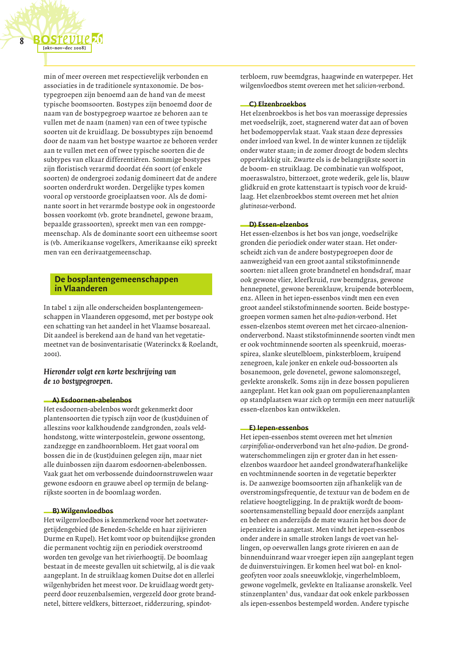min of meer overeen met respectievelijk verbonden en associaties in de traditionele syntaxonomie. De bostypegroepen zijn benoemd aan de hand van de meest typische boomsoorten. Bostypes zijn benoemd door de naam van de bostypegroep waartoe ze behoren aan te vullen met de naam (namen) van een of twee typische soorten uit de kruidlaag. De bossubtypes zijn benoemd door de naam van het bostype waartoe ze behoren verder aan te vullen met een of twee typische soorten die de subtypes van elkaar differentiëren. Sommige bostypes zijn floristisch verarmd doordat één soort (of enkele soorten) de ondergroei zodanig domineert dat de andere soorten onderdrukt worden. Dergelijke types komen vooral op verstoorde groeiplaatsen voor. Als de dominante soort in het verarmde bostype ook in ongestoorde bossen voorkomt (vb. grote brandnetel, gewone braam, bepaalde grassoorten), spreekt men van een rompgemeenschap. Als de dominante soort een uitheemse soort is (vb. Amerikaanse vogelkers, Amerikaanse eik) spreekt men van een derivaatgemeenschap.

# De bosplantengemeenschappen in Vlaanderen

In tabel 1 zijn alle onderscheiden bosplantengemeenschappen in Vlaanderen opgesomd, met per bostype ook een schatting van het aandeel in het Vlaamse bosareaal. Dit aandeel is berekend aan de hand van het vegetatiemeetnet van de bosinventarisatie (Waterinckx & Roelandt, 200I).

# Hieronder volgt een korte beschrijving van de 10 bostypegroepen.

# A) Esdoornen-abelenbos

Het esdoornen-abelenbos wordt gekenmerkt door plantensoorten die typisch zijn voor de (kust)duinen of alleszins voor kalkhoudende zandgronden, zoals veldhondstong, witte winterpostelein, gewone ossentong, zandzegge en zandhoornbloem. Het gaat vooral om bossen die in de (kust) duinen gelegen zijn, maar niet alle duinbossen zijn daarom esdoornen-abelenbossen. Vaak gaat het om verbossende duindoornstruwelen waar gewone esdoorn en grauwe abeel op termijn de belangrijkste soorten in de boomlaag worden.

#### B) Wilgenvloedbos

Het wilgenvloedbos is kenmerkend voor het zoetwatergetijdengebied (de Beneden-Schelde en haar zijrivieren Durme en Rupel). Het komt voor op buitendijkse gronden die permanent vochtig zijn en periodiek overstroomd worden ten gevolge van het rivierhoogtij. De boomlaag bestaat in de meeste gevallen uit schietwilg, al is die vaak aangeplant. In de struiklaag komen Duitse dot en allerlei wilgenhybriden het meest voor. De kruidlaag wordt getypeerd door reuzenbalsemien, vergezeld door grote brandnetel, bittere veldkers, bitterzoet, ridderzuring, spindotterbloem, ruw beemdgras, haagwinde en waterpeper. Het wilgenvloedbos stemt overeen met het salicion-verbond.

#### C) Elzenbroekbos

Het elzenbroekbos is het bos van moerassige depressies met voedselrijk, zoet, stagnerend water dat aan of boven het bodemoppervlak staat. Vaak staan deze depressies onder invloed van kwel. In de winter kunnen ze tijdelijk onder water staan; in de zomer droogt de bodem slechts oppervlakkig uit. Zwarte els is de belangrijkste soort in de boom- en struiklaag. De combinatie van wolfspoot, moeraswalstro, bitterzoet, grote wederik, gele lis, blauw glidkruid en grote kattenstaart is typisch voor de kruidlaag. Het elzenbroekbos stemt overeen met het alnion glutinosae-verbond.

## D) Essen-elzenbos

Het essen-elzenbos is het bos van jonge, voedselrijke gronden die periodiek onder water staan. Het onderscheidt zich van de andere bostypegroepen door de aanwezigheid van een groot aantal stikstofminnende soorten: niet alleen grote brandnetel en hondsdraf, maar ook gewone vlier, kleefkruid, ruw beemdgras, gewone hennepnetel, gewone berenklauw, kruipende boterbloem, enz. Alleen in het iepen-essenbos vindt men een even groot aandeel stikstofminnende soorten. Beide bostypegroepen vormen samen het alno-padion-verbond. Het essen-elzenbos stemt overeen met het circaeo-alneniononderverbond. Naast stikstofminnende soorten vindt men er ook vochtminnende soorten als speenkruid, moerasspirea, slanke sleutelbloem, pinksterbloem, kruipend zenegroen, kale jonker en enkele oud-bossoorten als bosanemoon, gele dovenetel, gewone salomonszegel, gevlekte aronskelk. Soms zijn in deze bossen populieren aangeplant. Het kan ook gaan om populierenaanplanten op standplaatsen waar zich op termijn een meer natuurlijk essen-elzenbos kan ontwikkelen.

#### E) lepen-essenbos

Het iepen-essenbos stemt overeen met het ulmenion carpinifoliae-onderverbond van het alno-padion. De grondwaterschommelingen zijn er groter dan in het essenelzenbos waardoor het aandeel grondwaterafhankelijke en vochtminnende soorten in de vegetatie beperkter is. De aanwezige boomsoorten zijn afhankelijk van de overstromingsfrequentie, de textuur van de bodem en de relatieve hoogteligging. In de praktijk wordt de boomsoortensamenstelling bepaald door enerzijds aanplant en beheer en anderzijds de mate waarin het bos door de iepenziekte is aangetast. Men vindt het iepen-essenbos onder andere in smalle stroken langs de voet van hellingen, op oeverwallen langs grote rivieren en aan de binnenduinrand waar vroeger iepen zijn aangeplant tegen de duinverstuivingen. Er komen heel wat bol- en knolgeofyten voor zoals sneeuwklokje, vingerhelmbloem, gewone vogelmelk, gevlekte en Italiaanse aronskelk. Veel stinzenplanten<sup>1</sup> dus, vandaar dat ook enkele parkbossen als iepen-essenbos bestempeld worden. Andere typische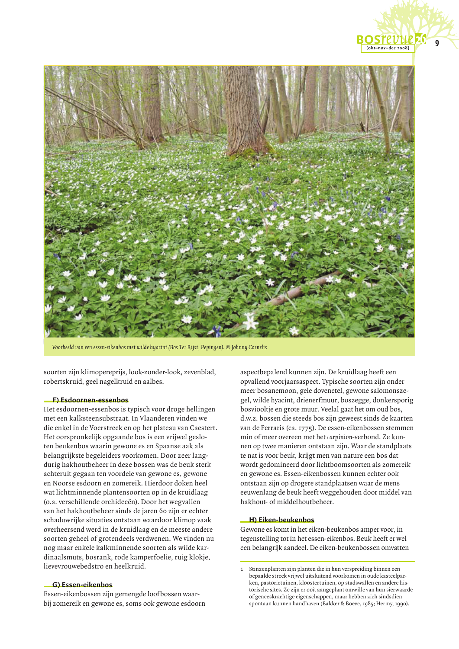

Voorbeeld van een essen-eikenbos met wilde hyacint (Bos Ter Rijst, Pepingen). © Johnny Cornelis

soorten zijn klimopereprijs, look-zonder-look, zevenblad, robertskruid, geel nagelkruid en aalbes.

#### - F) Esdoornen-essenbos

Het esdoornen-essenbos is typisch voor droge hellingen met een kalksteensubstraat. In Vlaanderen vinden we die enkel in de Voerstreek en op het plateau van Caestert. Het oorspronkelijk opgaande bos is een vrijwel gesloten beukenbos waarin gewone es en Spaanse aak als belangrijkste begeleiders voorkomen. Door zeer langdurig hakhoutbeheer in deze bossen was de beuk sterk achteruit gegaan ten voordele van gewone es, gewone en Noorse esdoorn en zomereik. Hierdoor doken heel wat lichtminnende plantensoorten op in de kruidlaag (o.a. verschillende orchideeën). Door het wegvallen van het hakhoutbeheer sinds de jaren 60 zijn er echter schaduwrijke situaties ontstaan waardoor klimop vaak overheersend werd in de kruidlaag en de meeste andere soorten geheel of grotendeels verdwenen. We vinden nu nog maar enkele kalkminnende soorten als wilde kardinaalsmuts, bosrank, rode kamperfoelie, ruig klokje, lievevrouwebedstro en heelkruid.

#### - G) Essen-eikenbos

Essen-eikenbossen zijn gemengde loofbossen waarbij zomereik en gewone es, soms ook gewone esdoorn aspectbepalend kunnen zijn. De kruidlaag heeft een opvallend voorjaarsaspect. Typische soorten zijn onder meer bosanemoon, gele dovenetel, gewone salomonszegel, wilde hyacint, drienerfmuur, boszegge, donkersporig bosviooltje en grote muur. Veelal gaat het om oud bos, d.w.z. bossen die steeds bos zijn geweest sinds de kaarten van de Ferraris (ca. 1775). De essen-eikenbossen stemmen min of meer overeen met het carpinion-verbond. Ze kunnen op twee manieren ontstaan zijn. Waar de standplaats te nat is voor beuk, krijgt men van nature een bos dat wordt gedomineerd door lichtboomsoorten als zomereik en gewone es. Essen-eikenbossen kunnen echter ook ontstaan zijn op drogere standplaatsen waar de mens eeuwenlang de beuk heeft weggehouden door middel van hakhout- of middelhoutbeheer.

#### **H**) Eiken-beukenbos

Gewone es komt in het eiken-beukenbos amper voor, in tegenstelling tot in het essen-eikenbos. Beuk heeft er wel een belangrijk aandeel. De eiken-beukenbossen omvatten

Stinzenplanten zijn planten die in hun verspreiding binnen een bepaalde streek vrijwel uitsluitend voorkomen in oude kasteelparken, pastorietuinen, kloostertuinen, op stadswallen en andere historische sites. Ze zijn er ooit aangeplant omwille van hun sierwaarde of geneeskrachtige eigenschappen, maar hebben zich sindsdien spontaan kunnen handhaven (Bakker & Boeve, 1985; Hermy, 1990).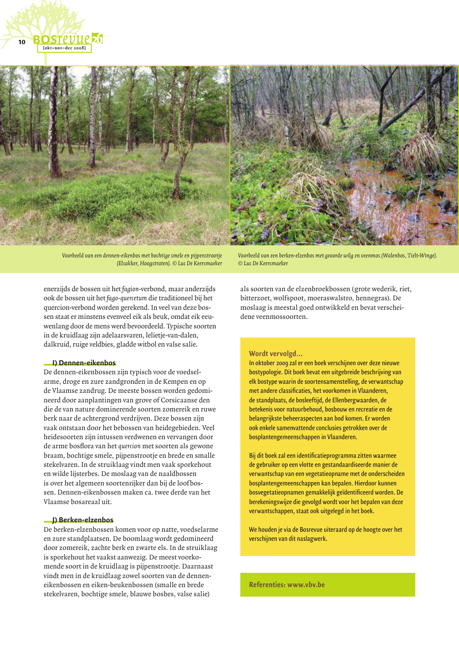

Voorbeeld van een dennen-eikenbos met bochtige smele en pijpenstrootje (Elsakker, Hoogstraten). © Luc De Keersmaeker

enerzijds de bossen uit het fagion-verbond, maar anderzijds ook de bossen uit het fago-quercetum die traditioneel bij het quercion-verbond worden gerekend. In yeel van deze bossen staat er minstens evenveel eik als beuk, omdat eik eeuwenlang door de mens werd bevoordeeld. Typische soorten in de kruidlaag zijn adelaarsvaren, lelietie-van-dalen, dalkruid, ruige veldbies, gladde witbol en valse salie.

#### D Dennen-eikenbos

De dennen-eikenbossen zijn typisch voor de voedselarme, droge en zure zandgronden in de Kempen en op de Vlaamse zandrug. De meeste bossen worden gedomineerd door aanplantingen van grove of Corsicaanse den die de van nature dominerende soorten zomereik en ruwe berk naar de achtergrond verdrijven. Deze bossen zijn vaak ontstaan door het bebossen van heidegebieden. Veel heidesoorten zijn intussen verdwenen en vervangen door de arme bosflora van het quercion met soorten als gewone braam, bochtige smele, pijpenstrootje en brede en smalle stekelvaren. In de struiklaag vindt men vaak sporkehout en wilde lijsterbes. De moslaag van de naaldbossen is over het algemeen soortenrijker dan bij de loofbossen. Dennen-eikenbossen maken ca. twee derde van het Vlaamse bosareaal uit

## D Berken-elzenbos

De berken-elzenbossen komen voor op natte, voedselarme en zure standplaatsen. De boomlaag wordt gedomineerd door zomereik, zachte berk en zwarte els. In de struiklaag is sporkehout het vaakst aanwezig. De meest voorkomende soort in de kruidlaag is pijpenstrootje. Daarnaast vindt men in de kruidlaag zowel soorten van de denneneikenbossen en eiken-beukenbossen (smalle en brede stekelvaren, bochtige smele, blauwe bosbes, valse salie)

Voorbeeld van een berken-elzenbos met geoorde wilg en veenmos (Walenbos, Tielt-Winge). © Luc De Keersmaeker

als soorten van de elzenbroekbossen (grote wederik, riet, bitterzoet, wolfspoot, moeraswalstro, hennegras). De moslaag is meestal goed ontwikkeld en bevat verscheidene veenmossoorten.

#### Wordt vervolgd...

In oktober 2009 zal er een boek verschijnen over deze nieuwe bostypologie. Dit boek bevat een uitgebreide beschrijving van elk bostype waarin de soortensamenstelling, de verwantschap met andere classificaties, het voorkomen in Vlaanderen, de standplaats, de bosleeftijd, de Ellenbergwaarden, de betekenis voor natuurbehoud, bosbouw en recreatie en de belangrijkste beheeraspecten aan bod komen. Er worden ook enkele samenvattende conclusies getrokken over de bosplantengemeenschappen in Vlaanderen.

Bij dit boek zal een identificatieprogramma zitten waarmee de gebruiker op een vlotte en gestandaardiseerde manier de verwantschap van een vegetatieopname met de onderscheiden bosplantengemeenschappen kan bepalen. Hierdoor kunnen bosvegetatieopnamen gemakkelijk geïdentificeerd worden. De berekeningswijze die gevolgd wordt voor het bepalen van deze verwantschappen, staat ook uitgelegd in het boek.

We houden je via de Bosrevue uiteraard op de hoogte over het verschijnen van dit naslagwerk.

Referenties: www.vbv.be